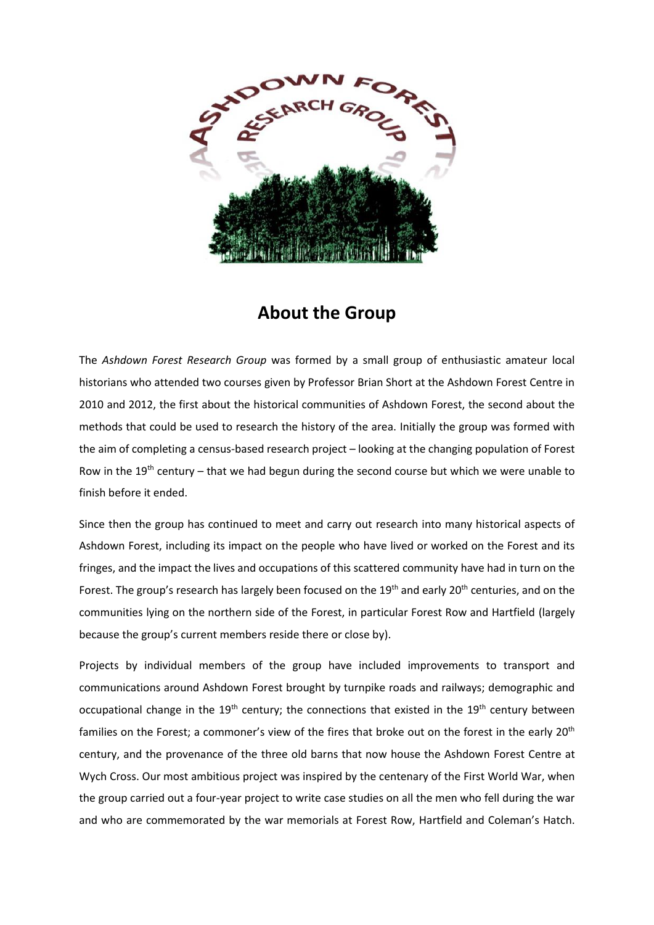

## **About the Group**

The *Ashdown Forest Research Group* was formed by a small group of enthusiastic amateur local historians who attended two courses given by Professor Brian Short at the Ashdown Forest Centre in 2010 and 2012, the first about the historical communities of Ashdown Forest, the second about the methods that could be used to research the history of the area. Initially the group was formed with the aim of completing a census-based research project – looking at the changing population of Forest Row in the 19<sup>th</sup> century – that we had begun during the second course but which we were unable to finish before it ended.

Since then the group has continued to meet and carry out research into many historical aspects of Ashdown Forest, including its impact on the people who have lived or worked on the Forest and its fringes, and the impact the lives and occupations of this scattered community have had in turn on the Forest. The group's research has largely been focused on the  $19<sup>th</sup>$  and early 20<sup>th</sup> centuries, and on the communities lying on the northern side of the Forest, in particular Forest Row and Hartfield (largely because the group's current members reside there or close by).

Projects by individual members of the group have included improvements to transport and communications around Ashdown Forest brought by turnpike roads and railways; demographic and occupational change in the 19<sup>th</sup> century; the connections that existed in the 19<sup>th</sup> century between families on the Forest; a commoner's view of the fires that broke out on the forest in the early 20<sup>th</sup> century, and the provenance of the three old barns that now house the Ashdown Forest Centre at Wych Cross. Our most ambitious project was inspired by the centenary of the First World War, when the group carried out a four-year project to write case studies on all the men who fell during the war and who are commemorated by the war memorials at Forest Row, Hartfield and Coleman's Hatch.